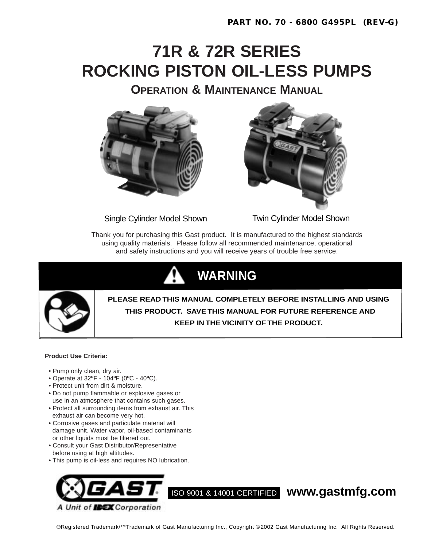# **71R & 72R SERIES ROCKING PISTON OIL-LESS PUMPS**

**OPERATION & MAINTENANCE MANUAL**



Single Cylinder Model Shown Twin Cylinder Model Shown



Thank you for purchasing this Gast product. It is manufactured to the highest standards using quality materials. Please follow all recommended maintenance, operational and safety instructions and you will receive years of trouble free service.





**PLEASE READ THIS MANUAL COMPLETELY BEFORE INSTALLING AND USING THIS PRODUCT. SAVE THIS MANUAL FOR FUTURE REFERENCE AND KEEP IN THE VICINITY OF THE PRODUCT.**

#### **Product Use Criteria:**

- Pump only clean, dry air.
- Operate at 32**º**F 104**º**F (0**º**C 40**º**C).
- Protect unit from dirt & moisture.
- Do not pump flammable or explosive gases or use in an atmosphere that contains such gases.
- Protect all surrounding items from exhaust air. This exhaust air can become very hot.
- Corrosive gases and particulate material will damage unit. Water vapor, oil-based contaminants or other liquids must be filtered out.
- Consult your Gast Distributor/Representative before using at high altitudes.
- This pump is oil-less and requires NO lubrication.



®Registered Trademark/™Trademark of Gast Manufacturing Inc., Copyright © 2002 Gast Manufacturing Inc. All Rights Reserved.

ISO 9001 & 14001 CERTIFIED **www.gastmfg.com**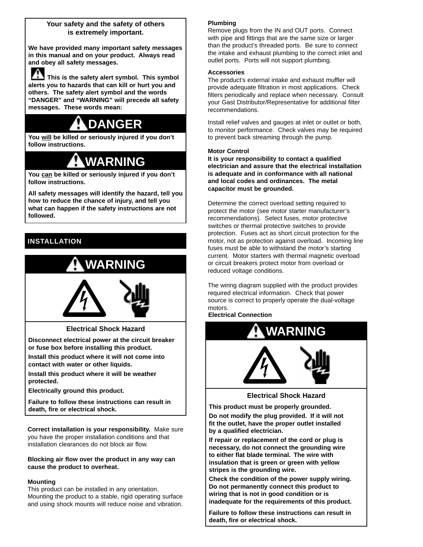#### **Your safety and the safety of others is extremely important.**

**We have provided many important safety messages in this manual and on your product. Always read and obey all safety messages.**

**This is the safety alert symbol. This symbol alerts you to hazards that can kill or hurt you and others. The safety alert symbol and the words "DANGER" and "WARNING" will precede all safety messages. These words mean:**

## **DANGER**

**You will be killed or seriously injured if you don't follow instructions.**

## **WARNING**

**You can be killed or seriously injured if you don't follow instructions.**

**All safety messages will identify the hazard, tell you how to reduce the chance of injury, and tell you what can happen if the safety instructions are not followed.** 

## **INSTALLATION**



**Electrical Shock Hazard**

**Disconnect electrical power at the circuit breaker or fuse box before installing this product.**

**Install this product where it will not come into**

**contact with water or other liquids.**

**Install this product where it will be weather protected.**

**Electrically ground this product.**

**Failure to follow these instructions can result in death, fire or electrical shock.**

**Correct installation is your responsibility.** Make sure you have the proper installation conditions and that installation clearances do not block air flow.

#### **Blocking air flow over the product in any way can cause the product to overheat.**

#### **Mounting**

This product can be installed in any orientation. Mounting the product to a stable, rigid operating surface and using shock mounts will reduce noise and vibration.

#### **Plumbing**

Remove plugs from the IN and OUT ports. Connect with pipe and fittings that are the same size or larger than the product's threaded ports. Be sure to connect the intake and exhaust plumbing to the correct inlet and outlet ports. Ports will not support plumbing.

#### **Accessories**

The product's external intake and exhaust muffler will provide adequate filtration in most applications. Check filters periodically and replace when necessary. Consult your Gast Distributor/Representative for additional filter recommendations.

Install relief valves and gauges at inlet or outlet or both, to monitor performance. Check valves may be required to prevent back streaming through the pump.

#### **Motor Control**

**It is your responsibility to contact a qualified electrician and assure that the electrical installation is adequate and in conformance with all national and local codes and ordinances. The metal capacitor must be grounded.**

Determine the correct overload setting required to protect the motor (see motor starter manufacturer's recommendations). Select fuses, motor protective switches or thermal protective switches to provide protection. Fuses act as short circuit protection for the motor, not as protection against overload. Incoming line fuses must be able to withstand the motor's starting current. Motor starters with thermal magnetic overload or circuit breakers protect motor from overload or reduced voltage conditions.

The wiring diagram supplied with the product provides required electrical information. Check that power source is correct to properly operate the dual-voltage motors.

**Electrical Connection**



#### **Electrical Shock Hazard**

**This product must be properly grounded. Do not modify the plug provided. If it will not fit the outlet, have the proper outlet installed by a qualified electrician.**

**If repair or replacement of the cord or plug is necessary, do not connect the grounding wire to either flat blade terminal. The wire with insulation that is green or green with yellow stripes is the grounding wire.**

**Check the condition of the power supply wiring. Do not permanently connect this product to wiring that is not in good condition or is inadequate for the requirements of this product.**

**Failure to follow these instructions can result in death, fire or electrical shock.**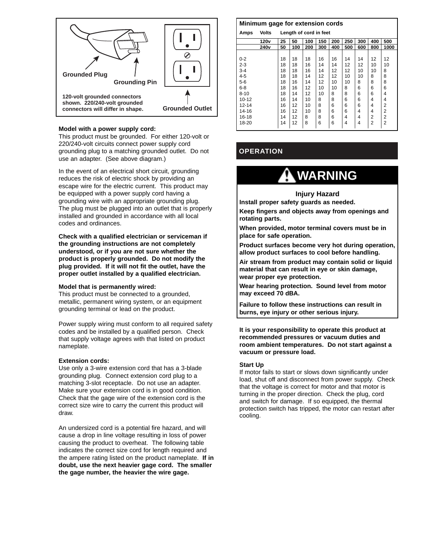

#### **Model with a power supply cord:**

This product must be grounded. For either 120-volt or 220/240-volt circuits connect power supply cord grounding plug to a matching grounded outlet. Do not use an adapter. (See above diagram.)

In the event of an electrical short circuit, grounding reduces the risk of electric shock by providing an escape wire for the electric current. This product may be equipped with a power supply cord having a grounding wire with an appropriate grounding plug. The plug must be plugged into an outlet that is properly installed and grounded in accordance with all local codes and ordinances.

**Check with a qualified electrician or serviceman if the grounding instructions are not completely understood, or if you are not sure whether the product is properly grounded. Do not modify the plug provided. If it will not fit the outlet, have the proper outlet installed by a qualified electrician.**

#### **Model that is permanently wired:**

This product must be connected to a grounded, metallic, permanent wiring system, or an equipment grounding terminal or lead on the product.

Power supply wiring must conform to all required safety codes and be installed by a qualified person. Check that supply voltage agrees with that listed on product nameplate.

#### **Extension cords:**

Use only a 3-wire extension cord that has a 3-blade grounding plug. Connect extension cord plug to a matching 3-slot receptacle. Do not use an adapter. Make sure your extension cord is in good condition. Check that the gage wire of the extension cord is the correct size wire to carry the current this product will draw.

An undersized cord is a potential fire hazard, and will cause a drop in line voltage resulting in loss of power causing the product to overheat. The following table indicates the correct size cord for length required and the ampere rating listed on the product nameplate. **If in doubt, use the next heavier gage cord. The smaller the gage number, the heavier the wire gage.**

#### **Minimum gage for extension cords**

| Amps      | <b>Volts</b>     | Length of cord in feet |     |     |     |     |     |     |                |                |
|-----------|------------------|------------------------|-----|-----|-----|-----|-----|-----|----------------|----------------|
|           | 120 <sub>v</sub> | 25                     | 50  | 100 | 150 | 200 | 250 | 300 | 400            | 500            |
|           | 240 <sub>v</sub> | 50                     | 100 | 200 | 300 | 400 | 500 | 600 | 800            | 1000           |
|           |                  |                        |     |     |     |     |     |     |                |                |
| $0 - 2$   |                  | 18                     | 18  | 18  | 16  | 16  | 14  | 14  | 12             | 12             |
| $2 - 3$   |                  | 18                     | 18  | 16  | 14  | 14  | 12  | 12  | 10             | 10             |
| $3 - 4$   |                  | 18                     | 18  | 16  | 14  | 12  | 12  | 10  | 10             | 8              |
| $4 - 5$   |                  | 18                     | 18  | 14  | 12  | 12  | 10  | 10  | 8              | 8              |
| $5-6$     |                  | 18                     | 16  | 14  | 12  | 10  | 10  | 8   | 8              | 8              |
| $6 - 8$   |                  | 18                     | 16  | 12  | 10  | 10  | 8   | 6   | 6              | 6              |
| $8 - 10$  |                  | 18                     | 14  | 12  | 10  | 8   | 8   | 6   | 6              | 4              |
| 10-12     |                  | 16                     | 14  | 10  | 8   | 8   | 6   | 6   | 4              | 4              |
| $12 - 14$ |                  | 16                     | 12  | 10  | 8   | 6   | 6   | 6   | 4              | 2              |
| 14-16     |                  | 16                     | 12  | 10  | 8   | 6   | 6   | 4   | 4              | 2              |
| 16-18     |                  | 14                     | 12  | 8   | 8   | 6   | 4   | 4   | 2              | 2              |
| 18-20     |                  | 14                     | 12  | 8   | 6   | 6   | 4   | 4   | $\overline{2}$ | $\overline{2}$ |

### **OPERATION**

## **WARNING**

#### **Injury Hazard**

**Install proper safety guards as needed.**

**Keep fingers and objects away from openings and rotating parts.**

**When provided, motor terminal covers must be in place for safe operation.**

**Product surfaces become very hot during operation, allow product surfaces to cool before handling.**

**Air stream from product may contain solid or liquid material that can result in eye or skin damage, wear proper eye protection.**

**Wear hearing protection. Sound level from motor may exceed 70 dBA.**

**Failure to follow these instructions can result in burns, eye injury or other serious injury.**

**It is your responsibility to operate this product at recommended pressures or vacuum duties and room ambient temperatures. Do not start against a vacuum or pressure load.**

#### **Start Up**

If motor fails to start or slows down significantly under load, shut off and disconnect from power supply. Check that the voltage is correct for motor and that motor is turning in the proper direction. Check the plug, cord and switch for damage. If so equipped, the thermal protection switch has tripped, the motor can restart after cooling.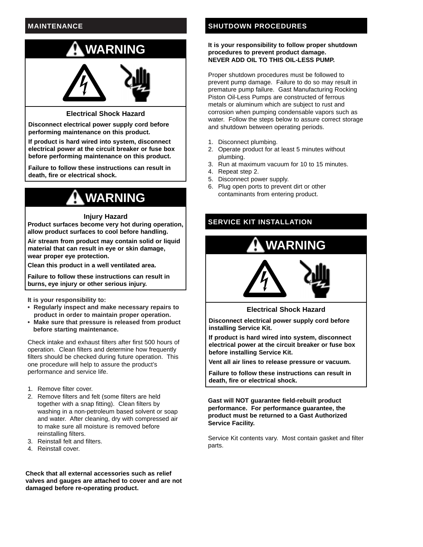## **MAINTENANCE**



#### **Electrical Shock Hazard**

**Disconnect electrical power supply cord before performing maintenance on this product.**

**If product is hard wired into system, disconnect electrical power at the circuit breaker or fuse box before performing maintenance on this product.**

**Failure to follow these instructions can result in death, fire or electrical shock.**

## **WARNING**

#### **Injury Hazard**

**Product surfaces become very hot during operation, allow product surfaces to cool before handling.**

**Air stream from product may contain solid or liquid material that can result in eye or skin damage, wear proper eye protection.**

**Clean this product in a well ventilated area.**

**Failure to follow these instructions can result in burns, eye injury or other serious injury.**

**It is your responsibility to:** 

- **Regularly inspect and make necessary repairs to product in order to maintain proper operation.**
- **Make sure that pressure is released from product before starting maintenance.**

Check intake and exhaust filters after first 500 hours of operation. Clean filters and determine how frequently filters should be checked during future operation. This one procedure will help to assure the product's performance and service life.

- 1. Remove filter cover.
- 2. Remove filters and felt (some filters are held together with a snap fitting). Clean filters by washing in a non-petroleum based solvent or soap and water. After cleaning, dry with compressed air to make sure all moisture is removed before reinstalling filters.
- 3. Reinstall felt and filters.
- 4. Reinstall cover.

**Check that all external accessories such as relief valves and gauges are attached to cover and are not damaged before re-operating product.**

### **SHUTDOWN PROCEDURES**

#### **It is your responsibility to follow proper shutdown procedures to prevent product damage. NEVER ADD OIL TO THIS OIL-LESS PUMP.**

Proper shutdown procedures must be followed to prevent pump damage. Failure to do so may result in premature pump failure. Gast Manufacturing Rocking Piston Oil-Less Pumps are constructed of ferrous metals or aluminum which are subject to rust and corrosion when pumping condensable vapors such as water. Follow the steps below to assure correct storage and shutdown between operating periods.

- 1. Disconnect plumbing.
- 2. Operate product for at least 5 minutes without plumbing.
- 3. Run at maximum vacuum for 10 to 15 minutes.
- 4. Repeat step 2.
- 5. Disconnect power supply.
- 6. Plug open ports to prevent dirt or other contaminants from entering product.

## **SERVICE KIT INSTALLATION**



**Electrical Shock Hazard**

**Disconnect electrical power supply cord before installing Service Kit.**

**If product is hard wired into system, disconnect electrical power at the circuit breaker or fuse box before installing Service Kit.**

**Vent all air lines to release pressure or vacuum.**

**Failure to follow these instructions can result in death, fire or electrical shock.**

**Gast will NOT guarantee field-rebuilt product performance. For performance guarantee, the product must be returned to a Gast Authorized Service Facility.**

Service Kit contents vary. Most contain gasket and filter parts.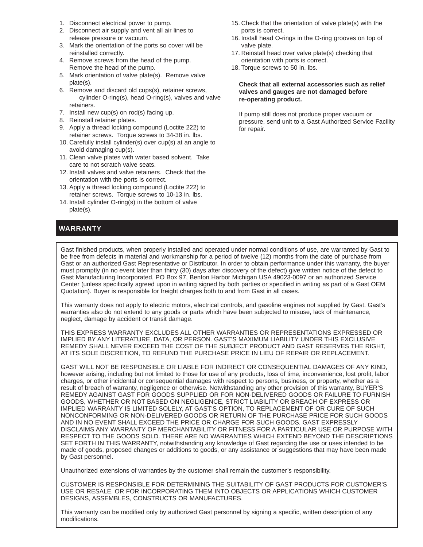- 1. Disconnect electrical power to pump.
- 2. Disconnect air supply and vent all air lines to release pressure or vacuum.
- 3. Mark the orientation of the ports so cover will be reinstalled correctly.
- 4. Remove screws from the head of the pump. Remove the head of the pump.
- 5. Mark orientation of valve plate(s). Remove valve plate(s).
- 6. Remove and discard old cups(s), retainer screws, cylinder O-ring(s), head O-ring(s), valves and valve retainers.
- 7. Install new cup(s) on rod(s) facing up.
- 8. Reinstall retainer plates.
- 9. Apply a thread locking compound (Loctite 222) to retainer screws. Torque screws to 34-38 in. lbs.
- 10. Carefully install cylinder(s) over cup(s) at an angle to avoid damaging cup(s).
- 11. Clean valve plates with water based solvent. Take care to not scratch valve seats.
- 12. Install valves and valve retainers. Check that the orientation with the ports is correct.
- 13. Apply a thread locking compound (Loctite 222) to retainer screws. Torque screws to 10-13 in. lbs.
- 14. Install cylinder O-ring(s) in the bottom of valve plate(s).

## **WARRANTY**

- 15. Check that the orientation of valve plate(s) with the ports is correct.
- 16. Install head O-rings in the O-ring grooves on top of valve plate.
- 17. Reinstall head over valve plate(s) checking that orientation with ports is correct.
- 18. Torque screws to 50 in. lbs.

#### **Check that all external accessories such as relief valves and gauges are not damaged before re-operating product.**

If pump still does not produce proper vacuum or pressure, send unit to a Gast Authorized Service Facility for repair.

Gast finished products, when properly installed and operated under normal conditions of use, are warranted by Gast to be free from defects in material and workmanship for a period of twelve (12) months from the date of purchase from Gast or an authorized Gast Representative or Distributor. In order to obtain performance under this warranty, the buyer must promptly (in no event later than thirty (30) days after discovery of the defect) give written notice of the defect to Gast Manufacturing Incorporated, PO Box 97, Benton Harbor Michigan USA 49023-0097 or an authorized Service Center (unless specifically agreed upon in writing signed by both parties or specified in writing as part of a Gast OEM Quotation). Buyer is responsible for freight charges both to and from Gast in all cases.

This warranty does not apply to electric motors, electrical controls, and gasoline engines not supplied by Gast. Gast's warranties also do not extend to any goods or parts which have been subjected to misuse, lack of maintenance, neglect, damage by accident or transit damage.

THIS EXPRESS WARRANTY EXCLUDES ALL OTHER WARRANTIES OR REPRESENTATIONS EXPRESSED OR IMPLIED BY ANY LITERATURE, DATA, OR PERSON. GAST'S MAXIMUM LIABILITY UNDER THIS EXCLUSIVE REMEDY SHALL NEVER EXCEED THE COST OF THE SUBJECT PRODUCT AND GAST RESERVES THE RIGHT, AT ITS SOLE DISCRETION, TO REFUND THE PURCHASE PRICE IN LIEU OF REPAIR OR REPLACEMENT.

GAST WILL NOT BE RESPONSIBLE OR LIABLE FOR INDIRECT OR CONSEQUENTIAL DAMAGES OF ANY KIND, however arising, including but not limited to those for use of any products, loss of time, inconvenience, lost profit, labor charges, or other incidental or consequential damages with respect to persons, business, or property, whether as a result of breach of warranty, negligence or otherwise. Notwithstanding any other provision of this warranty, BUYER'S REMEDY AGAINST GAST FOR GOODS SUPPLIED OR FOR NON-DELIVERED GOODS OR FAILURE TO FURNISH GOODS, WHETHER OR NOT BASED ON NEGLIGENCE, STRICT LIABILITY OR BREACH OF EXPRESS OR IMPLIED WARRANTY IS LIMITED SOLELY, AT GAST'S OPTION, TO REPLACEMENT OF OR CURE OF SUCH NONCONFORMING OR NON-DELIVERED GOODS OR RETURN OF THE PURCHASE PRICE FOR SUCH GOODS AND IN NO EVENT SHALL EXCEED THE PRICE OR CHARGE FOR SUCH GOODS. GAST EXPRESSLY DISCLAIMS ANY WARRANTY OF MERCHANTABILITY OR FITNESS FOR A PARTICULAR USE OR PURPOSE WITH RESPECT TO THE GOODS SOLD. THERE ARE NO WARRANTIES WHICH EXTEND BEYOND THE DESCRIPTIONS SET FORTH IN THIS WARRANTY, notwithstanding any knowledge of Gast regarding the use or uses intended to be made of goods, proposed changes or additions to goods, or any assistance or suggestions that may have been made by Gast personnel.

Unauthorized extensions of warranties by the customer shall remain the customer's responsibility.

CUSTOMER IS RESPONSIBLE FOR DETERMINING THE SUITABILITY OF GAST PRODUCTS FOR CUSTOMER'S USE OR RESALE, OR FOR INCORPORATING THEM INTO OBJECTS OR APPLICATIONS WHICH CUSTOMER DESIGNS, ASSEMBLES, CONSTRUCTS OR MANUFACTURES.

This warranty can be modified only by authorized Gast personnel by signing a specific, written description of any modifications.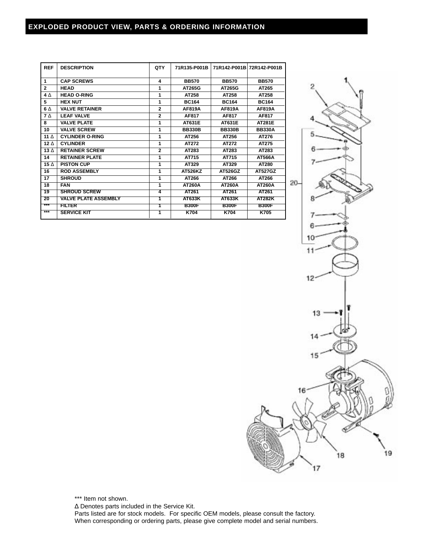## **EXPLODED PRODUCT VIEW, PARTS & ORDERING INFORMATION**

| <b>REF</b>      | <b>DESCRIPTION</b>          | QTY            | 71R135-P001B  |               | 71R142-P001B 72R142-P001B |
|-----------------|-----------------------------|----------------|---------------|---------------|---------------------------|
| 1               | <b>CAP SCREWS</b>           | 4              | <b>BB570</b>  | <b>BB570</b>  | <b>BB570</b>              |
| $\mathbf{2}$    | <b>HEAD</b>                 | 1              | AT265G        | AT265G        | AT265                     |
| $4\Lambda$      | <b>HEAD O-RING</b>          | 1              | AT258         | AT258         | AT258                     |
| 5               | <b>HEX NUT</b>              | 1              | <b>BC164</b>  | <b>BC164</b>  | <b>BC164</b>              |
| 6 A             | <b>VALVE RETAINER</b>       | $\mathbf{2}$   | AF819A        | AF819A        | AF819A                    |
| 7 <sub>Λ</sub>  | <b>LEAF VALVE</b>           | $\mathbf{2}$   | AF817         | AF817         | AF817                     |
| 8               | <b>VALVE PLATE</b>          | 1              | AT631E        | AT631E        | <b>AT281E</b>             |
| 10              | <b>VALVE SCREW</b>          | 1              | <b>BB330B</b> | <b>BB330B</b> | <b>BB330A</b>             |
| 11 $\wedge$     | <b>CYLINDER O-RING</b>      | 1              | AT256         | AT256         | AT276                     |
| 12 $\Delta$     | <b>CYLINDER</b>             | 1              | AT272         | AT272         | AT275                     |
| $13\Lambda$     | <b>RETAINER SCREW</b>       | $\mathbf{2}$   | AT283         | AT283         | AT283                     |
| 14              | <b>RETAINER PLATE</b>       | 1              | AT715         | AT715         | AT566A                    |
| 15 $\Delta$     | <b>PISTON CUP</b>           | 1              | AT329         | AT329         | AT280                     |
| 16              | <b>ROD ASSEMBLY</b>         | 1              | AT526KZ       | AT526GZ       | <b>AT527GZ</b>            |
| 17              | <b>SHROUD</b>               | 1              | AT266         | AT266         | AT266                     |
| 18              | <b>FAN</b>                  | 1              | <b>AT260A</b> | <b>AT260A</b> | <b>AT260A</b>             |
| $\overline{19}$ | <b>SHROUD SCREW</b>         | $\overline{4}$ | AT261         | AT261         | AT261                     |
| 20              | <b>VALVE PLATE ASSEMBLY</b> | 1              | <b>AT633K</b> | <b>AT633K</b> | <b>AT282K</b>             |
| ***             | FILTER                      | 1              | <b>B300F</b>  | <b>B300F</b>  | <b>B300F</b>              |
| $***$           | <b>SERVICE KIT</b>          | 1              | <b>K704</b>   | K704          | K705                      |



\*\*\* Item not shown.

∆ Denotes parts included in the Service Kit.

Parts listed are for stock models. For specific OEM models, please consult the factory. When corresponding or ordering parts, please give complete model and serial numbers.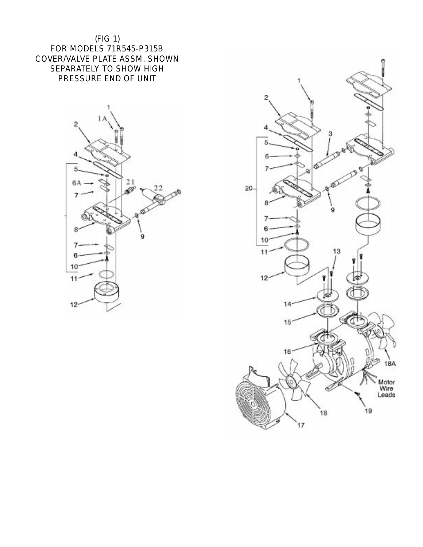



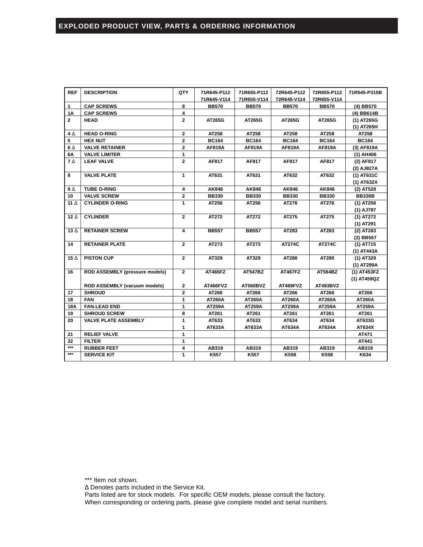| <b>REF</b>   | <b>DESCRIPTION</b>                    | QTY            | 71R645-P112   | 71R655-P112     | 72R645-P112    | 72R655-P112    | 71R545-P315B  |
|--------------|---------------------------------------|----------------|---------------|-----------------|----------------|----------------|---------------|
|              |                                       |                | 71R645-V114   | 71R655-V114     | 72R645-V114    | 72R655-V114    |               |
| 1            | <b>CAP SCREWS</b>                     | 8              | <b>BB570</b>  | <b>BB570</b>    | <b>BB570</b>   | <b>BB570</b>   | (4) BB570     |
| <b>1A</b>    | <b>CAP SCREWS</b>                     | 4              |               |                 |                |                | (4) BB614B    |
| $\mathbf{2}$ | <b>HEAD</b>                           | $\mathbf{2}$   | AT265G        | AT265G          | AT265G         | AT265G         | (1) AT265G    |
|              |                                       |                |               |                 |                |                | (1) AT265H    |
| $4\Delta$    | <b>HEAD O-RING</b>                    | $\mathbf{2}$   | AT258         | AT258           | AT258          | AT258          | AT258         |
| 5            | <b>HEX NUT</b>                        | $\mathbf{2}$   | <b>BC164</b>  | <b>BC164</b>    | <b>BC164</b>   | <b>BC164</b>   | <b>BC164</b>  |
| $6\Delta$    | <b>VALVE RETAINER</b>                 | $\mathbf 2$    | <b>AF819A</b> | AF819A          | AF819A         | AF819A         | (3) AF819A    |
| 6Α           | <b>VALVE LIMITER</b>                  | 1              |               |                 |                |                | (1) AH406     |
| $7\Delta$    | <b>LEAF VALVE</b>                     | $\overline{2}$ | AF817         | AF817           | AF817          | AF817          | (2) AF817     |
|              |                                       |                |               |                 |                |                | (2) AJ827A    |
| 8            | <b>VALVE PLATE</b>                    | 1              | AT631         | AT631           | AT632          | AT632          | (1) AT631C    |
|              |                                       |                |               |                 |                |                | (1) AT632X    |
| $9\Delta$    | <b>TUBE O-RING</b>                    | 4              | AK846         | AK846           | AK846          | AK846          | (2) AT528     |
| 10           | <b>VALVE SCREW</b>                    | $\overline{2}$ | <b>BB330</b>  | <b>BB330</b>    | <b>BB330</b>   | <b>BB330</b>   | <b>BB330B</b> |
| 11 $\Delta$  | <b>CYLINDER O-RING</b>                | 1              | AT256         | AT256           | AT276          | AT276          | (1) AT256     |
|              |                                       |                |               |                 |                |                | (1) AJ787     |
| 12 $\Delta$  | <b>CYLINDER</b>                       | $\overline{2}$ | AT272         | AT272           | AT275          | AT275          | (1) AT272     |
|              |                                       |                |               |                 |                |                | (1) AT291     |
| 13 $\Delta$  | <b>RETAINER SCREW</b>                 | $\overline{4}$ | <b>BB557</b>  | <b>BB557</b>    | AT283          | AT283          | $(2)$ AT283   |
|              |                                       |                |               |                 |                |                | (2) BB557     |
| 14           | <b>RETAINER PLATE</b>                 | $\overline{2}$ | AT273         | AT273           | <b>AT274C</b>  | <b>AT274C</b>  | (1) AT715     |
|              |                                       |                |               |                 |                |                | (1) AT443A    |
| 15 $\Delta$  | <b>PISTON CUP</b>                     | $\mathbf{2}$   | AT329         | AT329           | AT280          | AT280          | (1) AT329     |
|              |                                       |                |               |                 |                |                | (1) AT299A    |
| 16           | <b>ROD ASSEMBLY (pressure models)</b> | $\overline{2}$ | AT465FZ       | <b>AT547BZ</b>  | <b>AT467FZ</b> | <b>AT584BZ</b> | (1) AT453FZ   |
|              |                                       |                |               |                 |                |                | (1) AT459QZ   |
|              | ROD ASSEMBLY (vacuum models)          | $\mathbf{2}$   | AT466FVZ      | <b>AT560BVZ</b> | AT469FVZ       | AT493BVZ       |               |
| 17           | <b>SHROUD</b>                         | $\mathbf{2}$   | AT266         | AT266           | AT266          | AT266          | AT266         |
| 18           | <b>FAN</b>                            | 1              | <b>AT260A</b> | <b>AT260A</b>   | <b>AT260A</b>  | <b>AT260A</b>  | <b>AT260A</b> |
| <b>18A</b>   | <b>FAN-LEAD END</b>                   | 1              | AT259A        | <b>AT259A</b>   | <b>AT259A</b>  | AT259A         | <b>AT259A</b> |
| 19           | <b>SHROUD SCREW</b>                   | 8              | AT261         | AT261           | AT261          | AT261          | AT261         |
| 20           | <b>VALVE PLATE ASSEMBLY</b>           | 1              | AT633         | AT633           | AT634          | AT634          | AT633G        |
|              |                                       | 1              | AT633A        | AT633A          | AT634A         | AT634A         | AT634X        |
| 21           | <b>RELIEF VALVE</b>                   | 1              |               |                 |                |                | AT471         |
| 22           | <b>FILTER</b>                         | 1              |               |                 |                |                | AT441         |
| $***$        | <b>RUBBER FEET</b>                    | 4              | AB319         | AB319           | AB319          | AB319          | AB319         |
| $***$        | <b>SERVICE KIT</b>                    | $\mathbf{1}$   | K557          | K557            | K558           | K558           | K634          |

\*\*\* Item not shown.

∆ Denotes parts included in the Service Kit.

Parts listed are for stock models. For specific OEM models, please consult the factory. When corresponding or ordering parts, please give complete model and serial numbers.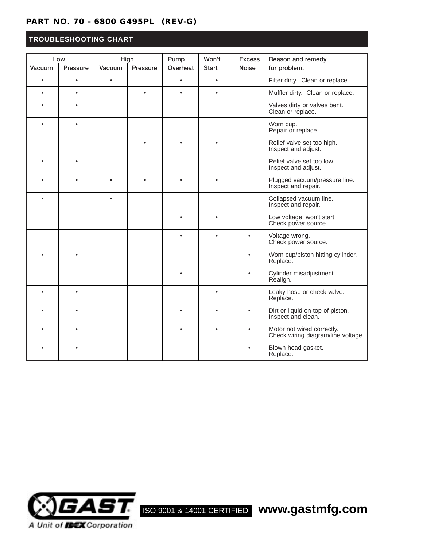## **PART NO. 70 - 6800 G495PL (REV-G)**

## **TROUBLESHOOTING CHART**

| Low       |           | High      |          | Pump      | Won't     | <b>Excess</b> | Reason and remedy                                                |
|-----------|-----------|-----------|----------|-----------|-----------|---------------|------------------------------------------------------------------|
| Vacuum    | Pressure  | Vacuum    | Pressure | Overheat  | Start     | <b>Noise</b>  | for problem.                                                     |
| $\bullet$ | $\bullet$ | $\bullet$ |          | $\bullet$ | $\bullet$ |               | Filter dirty. Clean or replace.                                  |
|           | $\bullet$ |           |          |           |           |               | Muffler dirty. Clean or replace.                                 |
|           |           |           |          |           |           |               | Valves dirty or valves bent.<br>Clean or replace.                |
|           | $\bullet$ |           |          |           |           |               | Worn cup.<br>Repair or replace.                                  |
|           |           |           |          |           |           |               | Relief valve set too high.<br>Inspect and adjust.                |
| $\bullet$ | $\bullet$ |           |          |           |           |               | Relief valve set too low.<br>Inspect and adjust.                 |
|           | ٠         |           |          |           |           |               | Plugged vacuum/pressure line.<br>Inspect and repair.             |
|           |           | $\bullet$ |          |           |           |               | Collapsed vacuum line.<br>Inspect and repair.                    |
|           |           |           |          |           |           |               | Low voltage, won't start.<br>Check power source.                 |
|           |           |           |          | $\bullet$ | $\bullet$ | $\bullet$     | Voltage wrong.<br>Check power source.                            |
|           | $\bullet$ |           |          |           |           | $\bullet$     | Worn cup/piston hitting cylinder.<br>Replace.                    |
|           |           |           |          | $\bullet$ |           | $\bullet$     | Cylinder misadjustment.<br>Realign.                              |
|           |           |           |          |           |           |               | Leaky hose or check valve.<br>Replace.                           |
|           | ٠         |           |          | $\bullet$ |           | $\bullet$     | Dirt or liquid on top of piston.<br>Inspect and clean.           |
|           | ٠         |           |          | $\bullet$ |           | $\bullet$     | Motor not wired correctly.<br>Check wiring diagram/line voltage. |
|           |           |           |          |           |           | $\bullet$     | Blown head gasket.<br>Replace.                                   |



ISO 9001 & 14001 CERTIFIED **www.gastmfg.com**